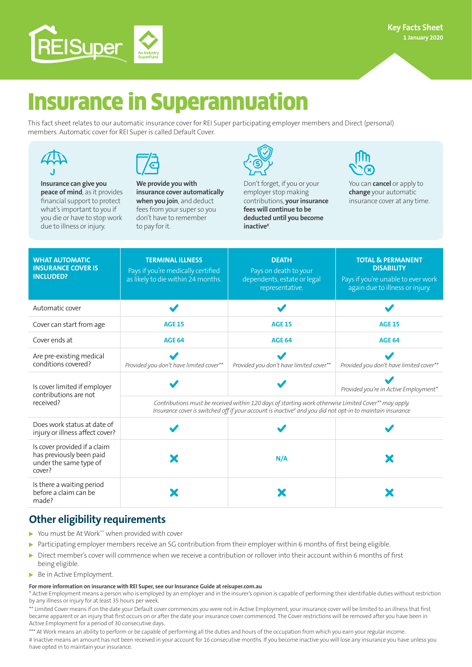

# Insurance in Superannuation

This fact sheet relates to our automatic insurance cover for REI Super participating employer members and Direct (personal) members. Automatic cover for REI Super is called Default Cover.





**Insurance can give you peace of mind**, as it provides financial support to protect what's important to you if you die or have to stop work due to illness or injury.

**We provide you with insurance cover automatically when you join**, and deduct fees from your super so you don't have to remember to pay for it.



Don't forget, if you or your employer stop making contributions, **your insurance fees will continue to be deducted until you become inactive#** .



You can **cancel** or apply to **change** your automatic insurance cover at any time.

| <b>WHAT AUTOMATIC</b><br><b>INSURANCE COVER IS</b><br><b>INCLUDED?</b>                       | <b>TERMINAL ILLNESS</b><br>Pays if you're medically certified<br>as likely to die within 24 months.                                                                                                                           | <b>DEATH</b><br>Pays on death to your<br>dependents, estate or legal<br>representative. | <b>TOTAL &amp; PERMANENT</b><br><b>DISABILITY</b><br>Pays if you're unable to ever work<br>again due to illness or injury. |
|----------------------------------------------------------------------------------------------|-------------------------------------------------------------------------------------------------------------------------------------------------------------------------------------------------------------------------------|-----------------------------------------------------------------------------------------|----------------------------------------------------------------------------------------------------------------------------|
| Automatic cover                                                                              |                                                                                                                                                                                                                               |                                                                                         |                                                                                                                            |
| Cover can start from age                                                                     | <b>AGE 15</b>                                                                                                                                                                                                                 | <b>AGE 15</b>                                                                           | <b>AGE 15</b>                                                                                                              |
| Cover ends at                                                                                | <b>AGE 64</b>                                                                                                                                                                                                                 | <b>AGE 64</b>                                                                           | <b>AGE 64</b>                                                                                                              |
| Are pre-existing medical<br>conditions covered?                                              | Provided you don't have limited cover**                                                                                                                                                                                       | Provided you don't have limited cover**                                                 | Provided you don't have limited cover**                                                                                    |
| Is cover limited if employer<br>contributions are not<br>received?                           |                                                                                                                                                                                                                               |                                                                                         | Provided you're in Active Employment*                                                                                      |
|                                                                                              | Contributions must be received within 120 days of starting work otherwise Limited Cover** may apply.<br>Insurance cover is switched off if your account is inactive <sup>#</sup> and you did not opt-in to maintain insurance |                                                                                         |                                                                                                                            |
| Does work status at date of<br>injury or illness affect cover?                               |                                                                                                                                                                                                                               |                                                                                         |                                                                                                                            |
| Is cover provided if a claim<br>has previously been paid<br>under the same type of<br>cover? |                                                                                                                                                                                                                               | N/A                                                                                     |                                                                                                                            |
| Is there a waiting period<br>before a claim can be<br>made?                                  |                                                                                                                                                                                                                               |                                                                                         |                                                                                                                            |

# **Other eligibility requirements**

- You must be At Work\*\*\* when provided with cover
- Participating employer members receive an SG contribution from their employer within 6 months of first being eligible.
- Direct member's cover will commence when we receive a contribution or rollover into their account within 6 months of first being eligible.
- Be in Active Employment.

#### **For more information on insurance with REI Super, see our Insurance Guide at reisuper.com.au**

\* Active Employment means a person who is employed by an employer and in the insurer's opinion is capable of performing their identifiable duties without restriction by any illness or injury for at least 35 hours per week.

\*\* Limited Cover means if on the date your Default cover commences you were not in Active Employment, your insurance cover will be limited to an illness that first became apparent or an injury that first occurs on or after the date your insurance cover commenced. The Cover restrictions will be removed after you have been in Active Employment for a period of 30 consecutive days.

\*\*\* At Work means an ability to perform or be capable of performing all the duties and hours of the occupation from which you earn your regular income. # Inactive means an amount has not been received in your account for 16 consecutive months. If you become inactive you will lose any insurance you have unless you have opted in to maintain your insurance.